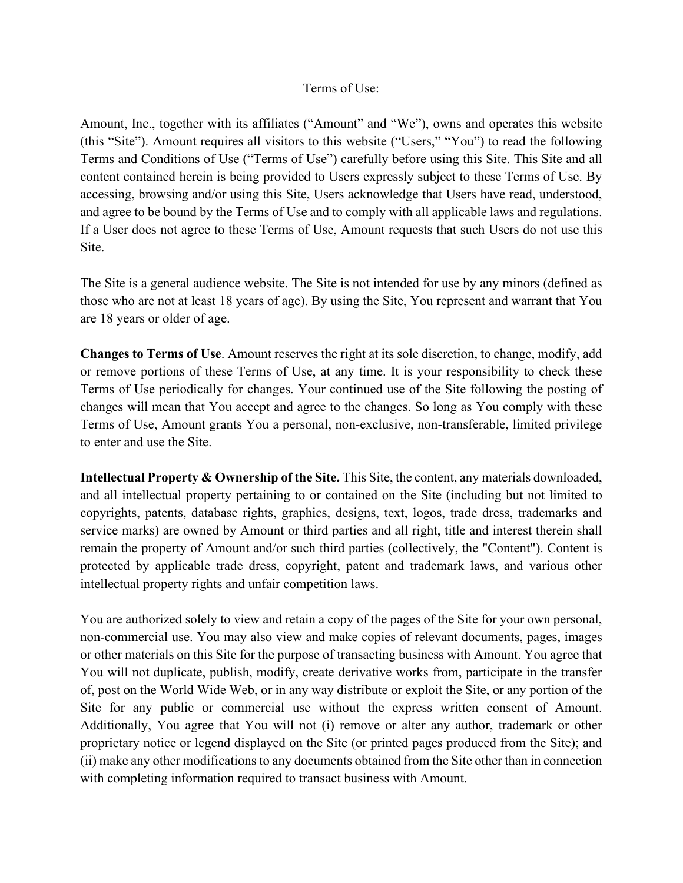## Terms of Use:

Amount, Inc., together with its affiliates ("Amount" and "We"), owns and operates this website (this "Site"). Amount requires all visitors to this website ("Users," "You") to read the following Terms and Conditions of Use ("Terms of Use") carefully before using this Site. This Site and all content contained herein is being provided to Users expressly subject to these Terms of Use. By accessing, browsing and/or using this Site, Users acknowledge that Users have read, understood, and agree to be bound by the Terms of Use and to comply with all applicable laws and regulations. If a User does not agree to these Terms of Use, Amount requests that such Users do not use this Site.

The Site is a general audience website. The Site is not intended for use by any minors (defined as those who are not at least 18 years of age). By using the Site, You represent and warrant that You are 18 years or older of age.

**Changes to Terms of Use**. Amount reserves the right at its sole discretion, to change, modify, add or remove portions of these Terms of Use, at any time. It is your responsibility to check these Terms of Use periodically for changes. Your continued use of the Site following the posting of changes will mean that You accept and agree to the changes. So long as You comply with these Terms of Use, Amount grants You a personal, non-exclusive, non-transferable, limited privilege to enter and use the Site.

**Intellectual Property & Ownership of the Site.** This Site, the content, any materials downloaded, and all intellectual property pertaining to or contained on the Site (including but not limited to copyrights, patents, database rights, graphics, designs, text, logos, trade dress, trademarks and service marks) are owned by Amount or third parties and all right, title and interest therein shall remain the property of Amount and/or such third parties (collectively, the "Content"). Content is protected by applicable trade dress, copyright, patent and trademark laws, and various other intellectual property rights and unfair competition laws.

You are authorized solely to view and retain a copy of the pages of the Site for your own personal, non-commercial use. You may also view and make copies of relevant documents, pages, images or other materials on this Site for the purpose of transacting business with Amount. You agree that You will not duplicate, publish, modify, create derivative works from, participate in the transfer of, post on the World Wide Web, or in any way distribute or exploit the Site, or any portion of the Site for any public or commercial use without the express written consent of Amount. Additionally, You agree that You will not (i) remove or alter any author, trademark or other proprietary notice or legend displayed on the Site (or printed pages produced from the Site); and (ii) make any other modifications to any documents obtained from the Site other than in connection with completing information required to transact business with Amount.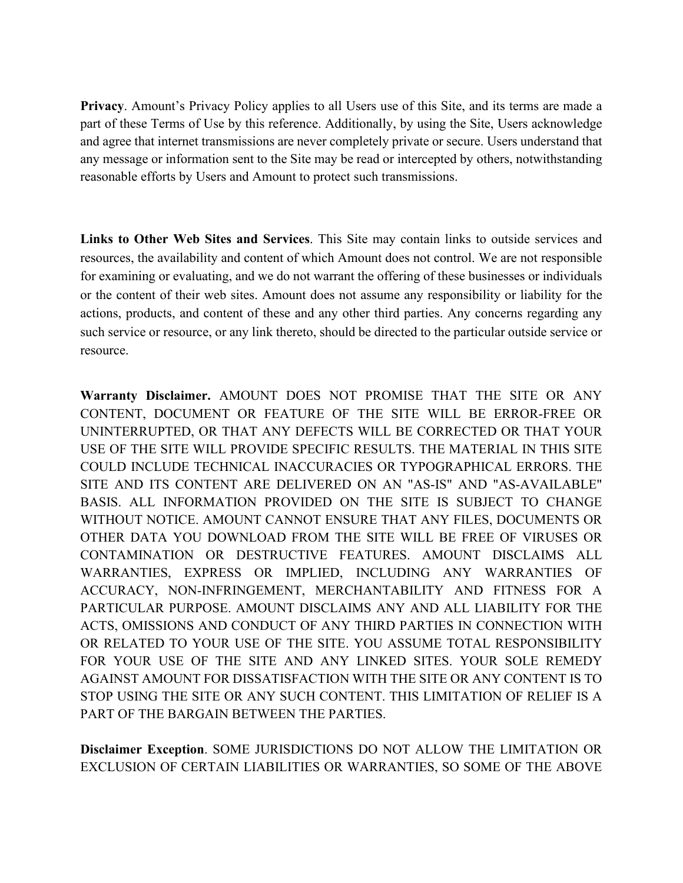**Privacy**. Amount's Privacy Policy applies to all Users use of this Site, and its terms are made a part of these Terms of Use by this reference. Additionally, by using the Site, Users acknowledge and agree that internet transmissions are never completely private or secure. Users understand that any message or information sent to the Site may be read or intercepted by others, notwithstanding reasonable efforts by Users and Amount to protect such transmissions.

**Links to Other Web Sites and Services**. This Site may contain links to outside services and resources, the availability and content of which Amount does not control. We are not responsible for examining or evaluating, and we do not warrant the offering of these businesses or individuals or the content of their web sites. Amount does not assume any responsibility or liability for the actions, products, and content of these and any other third parties. Any concerns regarding any such service or resource, or any link thereto, should be directed to the particular outside service or resource.

**Warranty Disclaimer.** AMOUNT DOES NOT PROMISE THAT THE SITE OR ANY CONTENT, DOCUMENT OR FEATURE OF THE SITE WILL BE ERROR-FREE OR UNINTERRUPTED, OR THAT ANY DEFECTS WILL BE CORRECTED OR THAT YOUR USE OF THE SITE WILL PROVIDE SPECIFIC RESULTS. THE MATERIAL IN THIS SITE COULD INCLUDE TECHNICAL INACCURACIES OR TYPOGRAPHICAL ERRORS. THE SITE AND ITS CONTENT ARE DELIVERED ON AN "AS-IS" AND "AS-AVAILABLE" BASIS. ALL INFORMATION PROVIDED ON THE SITE IS SUBJECT TO CHANGE WITHOUT NOTICE. AMOUNT CANNOT ENSURE THAT ANY FILES, DOCUMENTS OR OTHER DATA YOU DOWNLOAD FROM THE SITE WILL BE FREE OF VIRUSES OR CONTAMINATION OR DESTRUCTIVE FEATURES. AMOUNT DISCLAIMS ALL WARRANTIES, EXPRESS OR IMPLIED, INCLUDING ANY WARRANTIES OF ACCURACY, NON-INFRINGEMENT, MERCHANTABILITY AND FITNESS FOR A PARTICULAR PURPOSE. AMOUNT DISCLAIMS ANY AND ALL LIABILITY FOR THE ACTS, OMISSIONS AND CONDUCT OF ANY THIRD PARTIES IN CONNECTION WITH OR RELATED TO YOUR USE OF THE SITE. YOU ASSUME TOTAL RESPONSIBILITY FOR YOUR USE OF THE SITE AND ANY LINKED SITES. YOUR SOLE REMEDY AGAINST AMOUNT FOR DISSATISFACTION WITH THE SITE OR ANY CONTENT IS TO STOP USING THE SITE OR ANY SUCH CONTENT. THIS LIMITATION OF RELIEF IS A PART OF THE BARGAIN BETWEEN THE PARTIES.

**Disclaimer Exception**. SOME JURISDICTIONS DO NOT ALLOW THE LIMITATION OR EXCLUSION OF CERTAIN LIABILITIES OR WARRANTIES, SO SOME OF THE ABOVE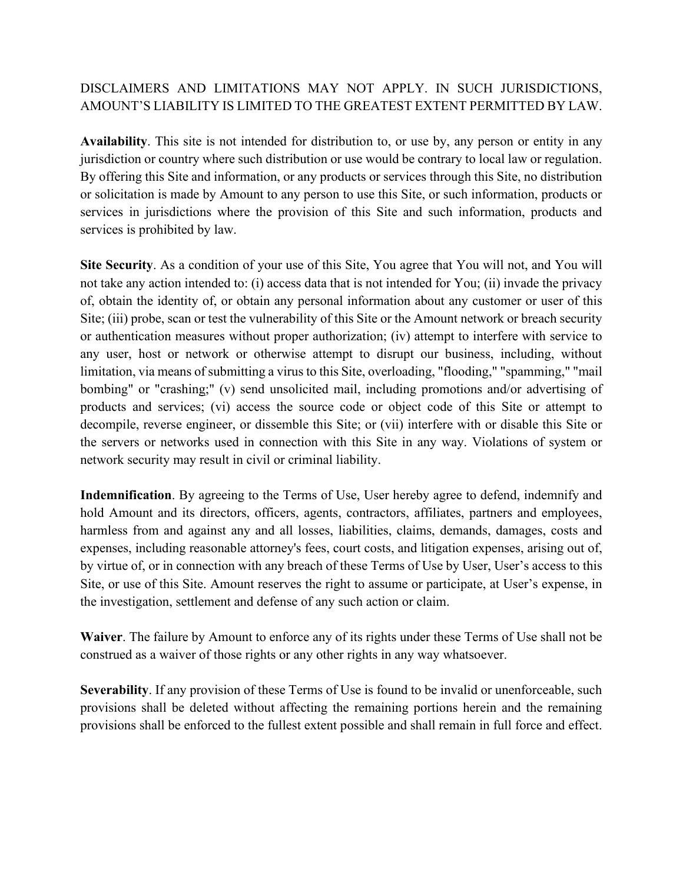## DISCLAIMERS AND LIMITATIONS MAY NOT APPLY. IN SUCH JURISDICTIONS, AMOUNT'S LIABILITY IS LIMITED TO THE GREATEST EXTENT PERMITTED BY LAW.

**Availability**. This site is not intended for distribution to, or use by, any person or entity in any jurisdiction or country where such distribution or use would be contrary to local law or regulation. By offering this Site and information, or any products or services through this Site, no distribution or solicitation is made by Amount to any person to use this Site, or such information, products or services in jurisdictions where the provision of this Site and such information, products and services is prohibited by law.

**Site Security**. As a condition of your use of this Site, You agree that You will not, and You will not take any action intended to: (i) access data that is not intended for You; (ii) invade the privacy of, obtain the identity of, or obtain any personal information about any customer or user of this Site; (iii) probe, scan or test the vulnerability of this Site or the Amount network or breach security or authentication measures without proper authorization; (iv) attempt to interfere with service to any user, host or network or otherwise attempt to disrupt our business, including, without limitation, via means of submitting a virus to this Site, overloading, "flooding," "spamming," "mail bombing" or "crashing;" (v) send unsolicited mail, including promotions and/or advertising of products and services; (vi) access the source code or object code of this Site or attempt to decompile, reverse engineer, or dissemble this Site; or (vii) interfere with or disable this Site or the servers or networks used in connection with this Site in any way. Violations of system or network security may result in civil or criminal liability.

**Indemnification**. By agreeing to the Terms of Use, User hereby agree to defend, indemnify and hold Amount and its directors, officers, agents, contractors, affiliates, partners and employees, harmless from and against any and all losses, liabilities, claims, demands, damages, costs and expenses, including reasonable attorney's fees, court costs, and litigation expenses, arising out of, by virtue of, or in connection with any breach of these Terms of Use by User, User's access to this Site, or use of this Site. Amount reserves the right to assume or participate, at User's expense, in the investigation, settlement and defense of any such action or claim.

**Waiver**. The failure by Amount to enforce any of its rights under these Terms of Use shall not be construed as a waiver of those rights or any other rights in any way whatsoever.

**Severability**. If any provision of these Terms of Use is found to be invalid or unenforceable, such provisions shall be deleted without affecting the remaining portions herein and the remaining provisions shall be enforced to the fullest extent possible and shall remain in full force and effect.